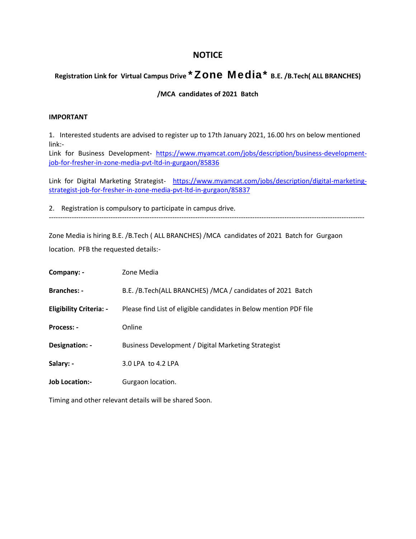## **NOTICE**

## **Registration Link for Virtual Campus Drive \*Zone Media\* B.E. /B.Tech( ALL BRANCHES)**

## **/MCA candidates of 2021 Batch**

## **IMPORTANT**

1. Interested students are advised to register up to 17th January 2021, 16.00 hrs on below mentioned link:-

Link for Business Development- https://www.myamcat.com/jobs/description/business-developmentjob-for-fresher-in-zone-media-pvt-ltd-in-gurgaon/85836

Link for Digital Marketing Strategist- https://www.myamcat.com/jobs/description/digital-marketingstrategist-job-for-fresher-in-zone-media-pvt-ltd-in-gurgaon/85837

2. Registration is compulsory to participate in campus drive. ------------------------------------------------------------------------------------------------------------------------------------------

Zone Media is hiring B.E. /B.Tech ( ALL BRANCHES) /MCA candidates of 2021 Batch for Gurgaon location. PFB the requested details:-

| Company: -                     | Zone Media                                                        |
|--------------------------------|-------------------------------------------------------------------|
| <b>Branches: -</b>             | B.E. /B.Tech(ALL BRANCHES) /MCA / candidates of 2021 Batch        |
| <b>Eligibility Criteria: -</b> | Please find List of eligible candidates in Below mention PDF file |
| Process: -                     | Online                                                            |
| Designation: -                 | Business Development / Digital Marketing Strategist               |
| Salary: -                      | 3.0 LPA to 4.2 LPA                                                |
| <b>Job Location:-</b>          | Gurgaon location.                                                 |

Timing and other relevant details will be shared Soon.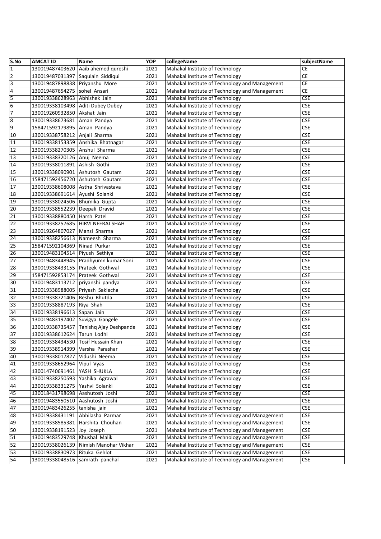| S.No            | <b>AMCAT ID</b>                    | Name                   | <b>YOP</b> | collegeName                                    | subjectName           |
|-----------------|------------------------------------|------------------------|------------|------------------------------------------------|-----------------------|
| $\mathbf 1$     | 130019487403620                    | Aaib ahemed qureshi    | 2021       | Mahakal Institute of Technology                | СE                    |
| $\overline{2}$  | 130019487031397                    | Saqulain Siddiqui      | 2021       | Mahakal Institute of Technology                | <b>CE</b>             |
| $\overline{3}$  | 130019487898838                    | Priyanshu More         | 2021       | Mahakal Institute of Technology and Management | CE                    |
| $\overline{4}$  | 130019487654275                    | sohel Ansari           | 2021       | Mahakal Institute of Technology and Management | CE                    |
| 5               | 130019338628963                    | Abhishek Jain          | 2021       | Mahakal Institute of Technology                | <b>CSE</b>            |
| $6\overline{6}$ | 130019338103498                    | Aditi Dubey Dubey      | 2021       | Mahakal Institute of Technology                | <b>CSE</b>            |
| 7               | 130019260932850                    | Akshat Jain            | 2021       | Mahakal Institute of Technology                | <b>CSE</b>            |
| ø               | 130019338673681                    | Aman Pandya            | 2021       | Mahakal Institute of Technology                | <b>CSE</b>            |
| 9               | 158471592179895                    | Aman Pandya            | 2021       | Mahakal Institute of Technology                | <b>CSE</b>            |
| 10              | 130019338758212                    | Anjali Sharma          | 2021       | Mahakal Institute of Technology                | <b>CSE</b>            |
| 11              | 130019338153359                    | Anshika Bhatnagar      | 2021       | Mahakal Institute of Technology                | <b>CSE</b>            |
| 12              | 130019338270305                    | Anshul Sharma          | 2021       | Mahakal Institute of Technology                | <b>CSE</b>            |
| 13              | 130019338320126                    | Anuj Neema             | 2021       | Mahakal Institute of Technology                | <b>CSE</b>            |
| $\overline{14}$ | 130019338011891                    | Ashish Gothi           | 2021       | Mahakal Institute of Technology                | <b>CSE</b>            |
| 15              | 130019338090901                    | Ashutosh Gautam        | 2021       | Mahakal Institute of Technology                | <b>CSE</b>            |
| $\overline{16}$ | 158471592456720                    | Ashutosh Gautam        | 2021       | Mahakal Institute of Technology                | <b>CSE</b>            |
| 17              | 130019338608008                    | Astha Shrivastava      | 2021       | Mahakal Institute of Technology                | <b>CSE</b>            |
| 18              | 130019338691614 Ayushi Solanki     |                        | 2021       | Mahakal Institute of Technology                | <b>CSE</b>            |
| 19              | 130019338024506 Bhumika Gupta      |                        | 2021       | Mahakal Institute of Technology                | <b>CSE</b>            |
| $\overline{20}$ |                                    |                        | 2021       | Mahakal Institute of Technology                |                       |
| $\overline{21}$ | 130019338552239 Deepali Dravid     |                        |            | Mahakal Institute of Technology                | <b>CSE</b>            |
| $\overline{22}$ | 130019338880450                    | Harsh Patel            | 2021       | Mahakal Institute of Technology                | <b>CSE</b>            |
|                 | 130019338257685                    | HIRVI NEERAJ SHAH      | 2021       |                                                | <b>CSE</b>            |
| $\overline{23}$ | 130019264807027                    | Mansi Sharma           | 2021       | Mahakal Institute of Technology                | <b>CSE</b>            |
| 24              | 130019338256613                    | Nameesh Sharma         | 2021       | Mahakal Institute of Technology                | <b>CSE</b>            |
| $\overline{25}$ | 158471592104369                    | Ninad Purkar           | 2021       | Mahakal Institute of Technology                | <b>CSE</b>            |
| 26              | 130019483104514 Piyush Sethiya     |                        | 2021       | Mahakal Institute of Technology                | <b>CSE</b>            |
| $\overline{27}$ | 130019483448945                    | Pradhyumn kumar Soni   | 2021       | Mahakal Institute of Technology                | <b>CSE</b>            |
| 28              | 130019338433155                    | Prateek Gothwal        | 2021       | Mahakal Institute of Technology                | <b>CSE</b>            |
| 29              | 158471592853174                    | Prateek Gothwal        | 2021       | Mahakal Institute of Technology                | <b>CSE</b>            |
| 30              | 130019483113712                    | priyanshi pandya       | 2021       | Mahakal Institute of Technology                | <b>CSE</b>            |
| 31              | 130019338988005                    | Priyesh Saklecha       | 2021       | Mahakal Institute of Technology                | <b>CSE</b>            |
| 32              | 130019338721406                    | Reshu Bhutda           | 2021       | Mahakal Institute of Technology                | <b>CSE</b>            |
| 33              | 130019338887193                    | Riya Shah              | 2021       | Mahakal Institute of Technology                | <b>CSE</b>            |
| 34              | 130019338196613 Sapan Jain         |                        | 2021       | Mahakal Institute of Technology                | <b>CSE</b>            |
| 35              | 130019483197402 Suvigya Gangele    |                        | 2021       | Mahakal Institute of Technology                | <b>CSE</b>            |
| 36              | 130019338735457                    | Tanishq Ajay Deshpande | 2021       | Mahakal Institute of Technology                | <b>CSE</b>            |
| $\overline{37}$ | 130019338612624                    | Tarun Lodhi            | 2021       | Mahakal Institute of Technology                | <b>CSE</b>            |
| 38              | 130019338434530 Tosif Hussain Khan |                        | 2021       | Mahakal Institute of Technology                | <b>CSE</b>            |
| 39              | 130019338914399                    | Varsha Parashar        | 2021       | Mahakal Institute of Technology                | <b>CSE</b>            |
| 40              | 130019338017827                    | Vidushi Neema          | 2021       | Mahakal Institute of Technology                | <b>CSE</b>            |
| 41              | 130019338652964                    | Vipul Vyas             | 2021       | Mahakal Institute of Technology                | <b>CSE</b>            |
| 42              | 130014740691461                    | YASH SHUKLA            | 2021       | Mahakal Institute of Technology                | <b>CSE</b>            |
| 43              | 130019338250593                    | Yashika Agrawal        | 2021       | Mahakal Institute of Technology                | <b>CSE</b>            |
| 44              | 130019338331275                    | Yashvi Solanki         | 2021       | Mahakal Institute of Technology                | <b>CSE</b>            |
| 45              | 130018431798698                    | Aashutosh Joshi        | 2021       | Mahakal Institute of Technology                | <b>CSE</b>            |
| 46              | 130019483550510                    | Aashutosh Joshi        | 2021       | Mahakal Institute of Technology                | <b>CSE</b>            |
| 47              | 130019483426255 tanisha jain       |                        | 2021       | Mahakal Institute of Technology                | <b>CSE</b>            |
| 48              | 130019338431191                    | Abhilasha Parmar       | 2021       | Mahakal Institute of Technology and Management | <b>CSE</b>            |
| 49              | 130019338585381                    | Harshita Chouhan       | 2021       | Mahakal Institute of Technology and Management | <b>CSE</b>            |
| 50              | 130019338191523                    | Joy Joseph             | 2021       | Mahakal Institute of Technology and Management | CSE                   |
| 51              | 130019483529748                    | Khushal Malik          | 2021       | Mahakal Institute of Technology and Management | <b>CSE</b>            |
| 52              | 130019338026139                    | Nimish Manohar Vikhar  | 2021       | Mahakal Institute of Technology and Management | <b>CSE</b>            |
| 53              | 130019338830973                    | Rituka Gehlot          | 2021       | Mahakal Institute of Technology and Management | $\mathsf{CSE}\xspace$ |
| 54              |                                    |                        |            | Mahakal Institute of Technology and Management |                       |
|                 | 130019338048516 samrath panchal    |                        | 2021       |                                                | CSE                   |